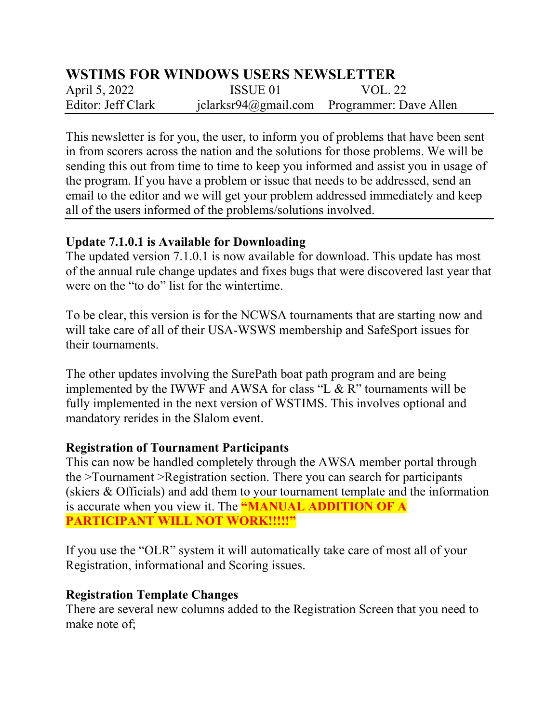# WSTIMS FOR WINDOWS USERS NEWSLETTER

April 5, 2022 **ISSUE 01** VOL. 22 Editor: Jeff Clark iclarksr94@gmail.com Programmer: Dave Allen

This newsletter is for you, the user, to inform you of problems that have been sent in from scorers across the nation and the solutions for those problems. We will be sending this out from time to time to keep you informed and assist you in usage of the program. If you have a problem or issue that needs to be addressed, send an email to the editor and we will get your problem addressed immediately and keep all of the users informed of the problems/solutions involved.

#### Update 7.1.0.1 is Available for Downloading

The updated version 7.1.0.1 is now available for download. This update has most of the annual rule change updates and fixes bugs that were discovered last year that were on the "to do" list for the wintertime.

To be clear, this version is for the NCWSA tournaments that are starting now and will take care of all of their USA-WSWS membership and SafeSport issues for their tournaments.

The other updates involving the SurePath boat path program and are being implemented by the IWWF and AWSA for class "L & R" tournaments will be fully implemented in the next version of WSTIMS. This involves optional and mandatory rerides in the Slalom event.

### Registration of Tournament Participants

This can now be handled completely through the AWSA member portal through the >Tournament >Registration section. There you can search for participants (skiers & Officials) and add them to your tournament template and the information is accurate when you view it. The **"MANUAL ADDITION OF A** PARTICIPANT WILL NOT WORK!!!!!"

If you use the "OLR" system it will automatically take care of most all of your Registration, informational and Scoring issues.

### Registration Template Changes

There are several new columns added to the Registration Screen that you need to make note of;